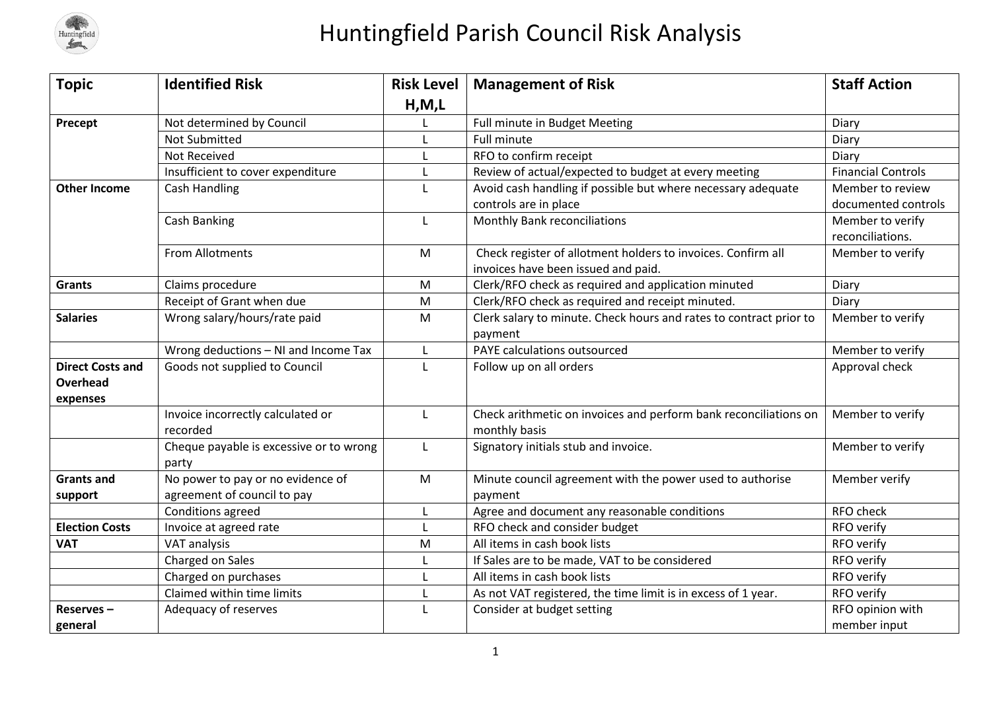

## Huntingfield Parish Council Risk Analysis

| <b>Topic</b>            | <b>Identified Risk</b>                  | <b>Risk Level</b> | <b>Management of Risk</b>                                          | <b>Staff Action</b>       |
|-------------------------|-----------------------------------------|-------------------|--------------------------------------------------------------------|---------------------------|
|                         |                                         | H, M, L           |                                                                    |                           |
| Precept                 | Not determined by Council               |                   | Full minute in Budget Meeting                                      | Diary                     |
|                         | <b>Not Submitted</b>                    |                   | <b>Full minute</b>                                                 | Diary                     |
|                         | Not Received                            |                   | RFO to confirm receipt                                             | Diary                     |
|                         | Insufficient to cover expenditure       |                   | Review of actual/expected to budget at every meeting               | <b>Financial Controls</b> |
| <b>Other Income</b>     | Cash Handling                           |                   | Avoid cash handling if possible but where necessary adequate       | Member to review          |
|                         |                                         |                   | controls are in place                                              | documented controls       |
|                         | <b>Cash Banking</b>                     | L                 | Monthly Bank reconciliations                                       | Member to verify          |
|                         |                                         |                   |                                                                    | reconciliations.          |
|                         | <b>From Allotments</b>                  | M                 | Check register of allotment holders to invoices. Confirm all       | Member to verify          |
|                         |                                         |                   | invoices have been issued and paid.                                |                           |
| <b>Grants</b>           | Claims procedure                        | M                 | Clerk/RFO check as required and application minuted                | Diary                     |
|                         | Receipt of Grant when due               | M                 | Clerk/RFO check as required and receipt minuted.                   | Diary                     |
| <b>Salaries</b>         | Wrong salary/hours/rate paid            | ${\sf M}$         | Clerk salary to minute. Check hours and rates to contract prior to | Member to verify          |
|                         |                                         |                   | payment                                                            |                           |
|                         | Wrong deductions - NI and Income Tax    | L                 | PAYE calculations outsourced                                       | Member to verify          |
| <b>Direct Costs and</b> | Goods not supplied to Council           |                   | Follow up on all orders                                            | Approval check            |
| Overhead                |                                         |                   |                                                                    |                           |
| expenses                |                                         |                   |                                                                    |                           |
|                         | Invoice incorrectly calculated or       | L                 | Check arithmetic on invoices and perform bank reconciliations on   | Member to verify          |
|                         | recorded                                |                   | monthly basis                                                      |                           |
|                         | Cheque payable is excessive or to wrong | L                 | Signatory initials stub and invoice.                               | Member to verify          |
|                         | party                                   |                   |                                                                    |                           |
| <b>Grants and</b>       | No power to pay or no evidence of       | M                 | Minute council agreement with the power used to authorise          | Member verify             |
| support                 | agreement of council to pay             |                   | payment                                                            |                           |
|                         | Conditions agreed                       |                   | Agree and document any reasonable conditions                       | RFO check                 |
| <b>Election Costs</b>   | Invoice at agreed rate                  |                   | RFO check and consider budget                                      | RFO verify                |
| <b>VAT</b>              | VAT analysis                            | M                 | All items in cash book lists                                       | RFO verify                |
|                         | Charged on Sales                        |                   | If Sales are to be made, VAT to be considered                      | RFO verify                |
|                         | Charged on purchases                    |                   | All items in cash book lists                                       | RFO verify                |
|                         | Claimed within time limits              |                   | As not VAT registered, the time limit is in excess of 1 year.      | RFO verify                |
| Reserves-               | Adequacy of reserves                    |                   | Consider at budget setting                                         | RFO opinion with          |
| general                 |                                         |                   |                                                                    | member input              |